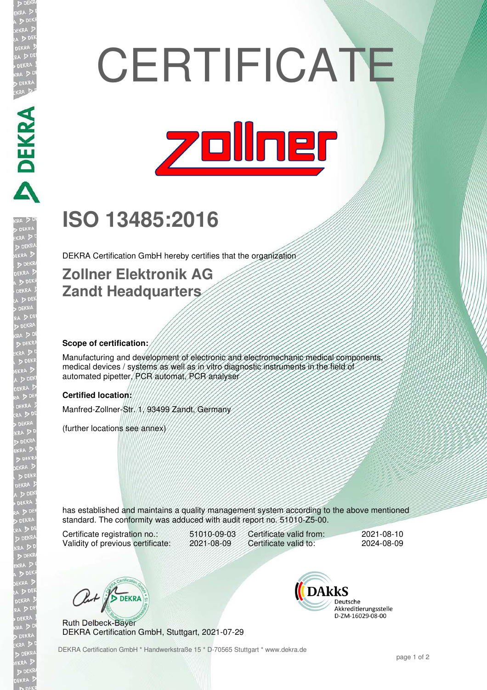# **CERTIFICATE**



## **ISO 13485:2016**

DEKRA Certification GmbH hereby certifies that the organization

### **Zollner Elektronik AG Zandt Headquarters**

#### **Scope of certification:**

**DEKRA PERSON** 

Manufacturing and development of electronic and electromechanic medical components, medical devices / systems as well as in vitro diagnostic instruments in the field of automated pipetter, PCR automat, PCR analyser

#### **Certified location:**

Manfred-Zollner-Str. 1, 93499 Zandt, Germany

(further locations see annex)

has established and maintains a quality management system according to the above mentioned standard. The conformity was adduced with audit report no. 51010-Z5-00.

Certificate registration no.: 51010-09-03<br>Validity of previous certificate: 2021-08-09 Validity of previous certificate:

Certificate valid from: 2021-08-10<br>Certificate valid to: 2024-08-09 Certificate valid to:

Out / DEKRA

Ruth Delbeck-Bayer DEKRA Certification GmbH, Stuttgart, 2021-07-29 **DAKKS** Deutsche Akkreditierungsstelle D-ZM-16029-08-00

DEKRA Certification GmbH \* Handwerkstraße 15 \* D-70565 Stuttgart \* www.dekra.de